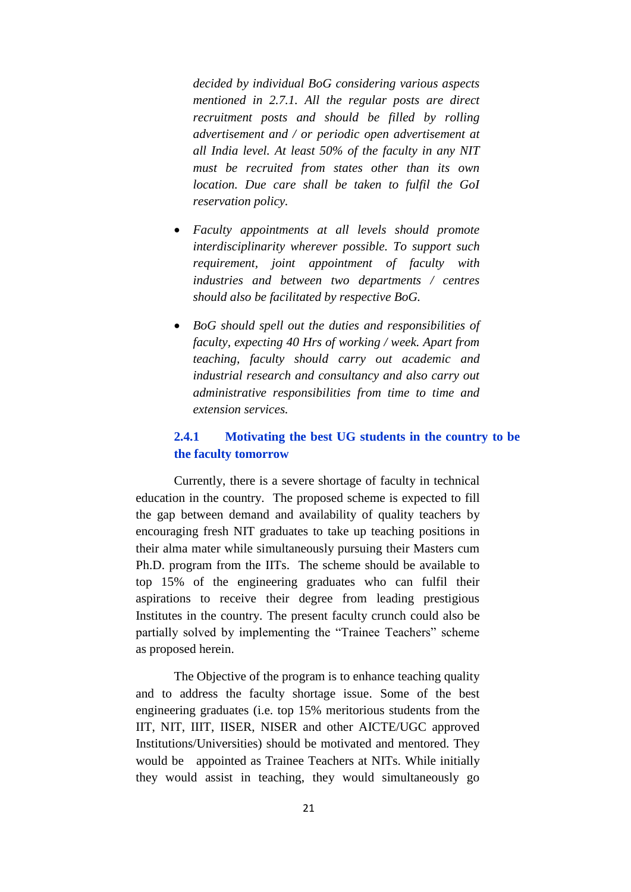*decided by individual BoG considering various aspects mentioned in 2.7.1. All the regular posts are direct recruitment posts and should be filled by rolling advertisement and / or periodic open advertisement at all India level. At least 50% of the faculty in any NIT must be recruited from states other than its own location. Due care shall be taken to fulfil the GoI reservation policy.*

- *Faculty appointments at all levels should promote interdisciplinarity wherever possible. To support such requirement, joint appointment of faculty with industries and between two departments / centres should also be facilitated by respective BoG.*
- *BoG should spell out the duties and responsibilities of faculty, expecting 40 Hrs of working / week. Apart from teaching, faculty should carry out academic and industrial research and consultancy and also carry out administrative responsibilities from time to time and extension services.*

# **2.4.1 Motivating the best UG students in the country to be the faculty tomorrow**

Currently, there is a severe shortage of faculty in technical education in the country. The proposed scheme is expected to fill the gap between demand and availability of quality teachers by encouraging fresh NIT graduates to take up teaching positions in their alma mater while simultaneously pursuing their Masters cum Ph.D. program from the IITs. The scheme should be available to top 15% of the engineering graduates who can fulfil their aspirations to receive their degree from leading prestigious Institutes in the country. The present faculty crunch could also be partially solved by implementing the "Trainee Teachers" scheme as proposed herein.

The Objective of the program is to enhance teaching quality and to address the faculty shortage issue. Some of the best engineering graduates (i.e. top 15% meritorious students from the IIT, NIT, IIIT, IISER, NISER and other AICTE/UGC approved Institutions/Universities) should be motivated and mentored. They would be appointed as Trainee Teachers at NITs. While initially they would assist in teaching, they would simultaneously go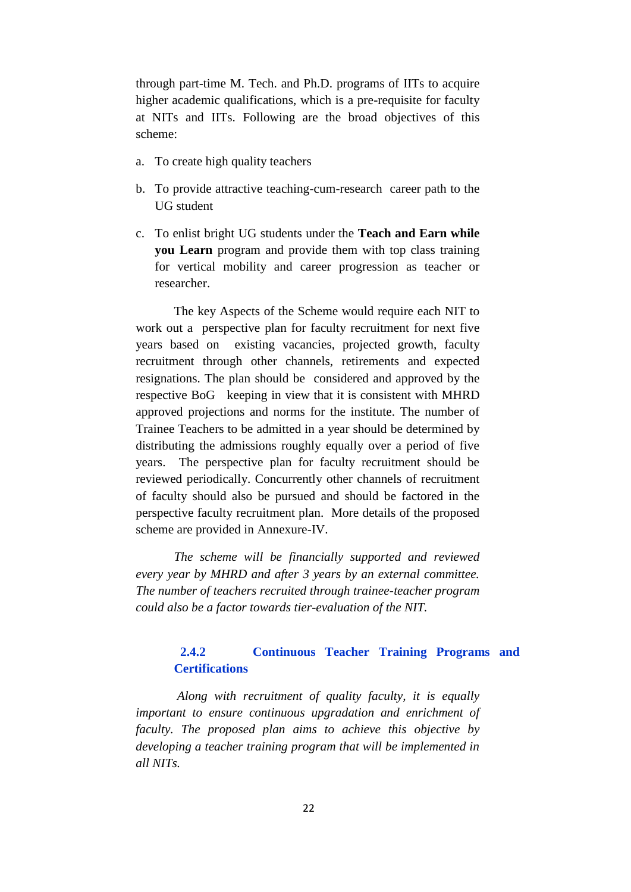through part-time M. Tech. and Ph.D. programs of IITs to acquire higher academic qualifications, which is a pre-requisite for faculty at NITs and IITs. Following are the broad objectives of this scheme:

- a. To create high quality teachers
- b. To provide attractive teaching-cum-research career path to the UG student
- c. To enlist bright UG students under the **Teach and Earn while you Learn** program and provide them with top class training for vertical mobility and career progression as teacher or researcher.

The key Aspects of the Scheme would require each NIT to work out a perspective plan for faculty recruitment for next five years based on existing vacancies, projected growth, faculty recruitment through other channels, retirements and expected resignations. The plan should be considered and approved by the respective BoG keeping in view that it is consistent with MHRD approved projections and norms for the institute. The number of Trainee Teachers to be admitted in a year should be determined by distributing the admissions roughly equally over a period of five years. The perspective plan for faculty recruitment should be reviewed periodically. Concurrently other channels of recruitment of faculty should also be pursued and should be factored in the perspective faculty recruitment plan. More details of the proposed scheme are provided in Annexure-IV.

*The scheme will be financially supported and reviewed every year by MHRD and after 3 years by an external committee. The number of teachers recruited through trainee-teacher program could also be a factor towards tier-evaluation of the NIT.*

## **2.4.2 Continuous Teacher Training Programs and Certifications**

*Along with recruitment of quality faculty, it is equally important to ensure continuous upgradation and enrichment of faculty. The proposed plan aims to achieve this objective by developing a teacher training program that will be implemented in all NITs.*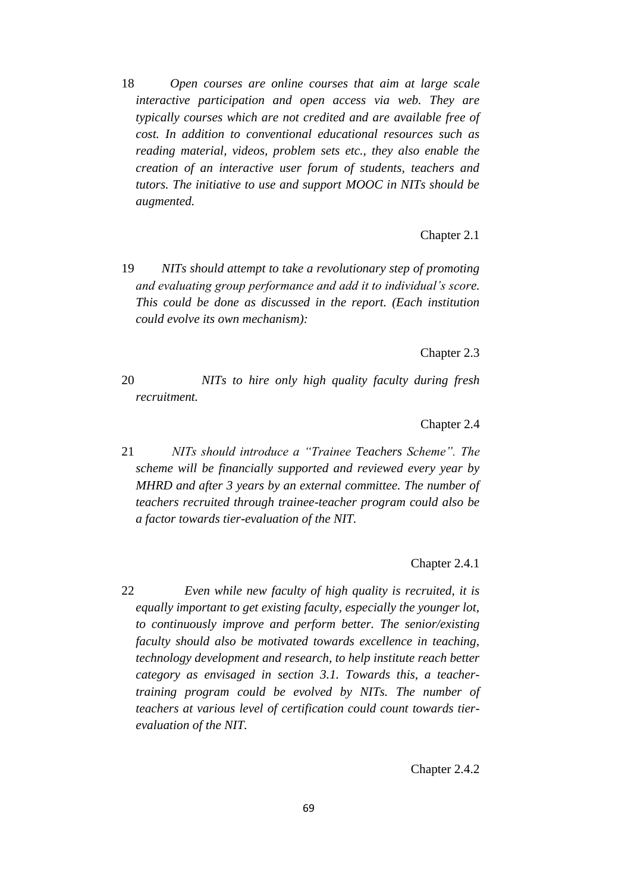18 *Open courses are online courses that aim at large scale interactive participation and open access via web. They are typically courses which are not credited and are available free of cost. In addition to conventional educational resources such as reading material, videos, problem sets etc., they also enable the creation of an interactive user forum of students, teachers and tutors. The initiative to use and support MOOC in NITs should be augmented.*

Chapter 2.1

19 *NITs should attempt to take a revolutionary step of promoting and evaluating group performance and add it to individual"s score. This could be done as discussed in the report. (Each institution could evolve its own mechanism):*

Chapter 2.3

20 *NITs to hire only high quality faculty during fresh recruitment.* 

Chapter 2.4

21 *NITs should introduce a "Trainee Teachers Scheme". The scheme will be financially supported and reviewed every year by MHRD and after 3 years by an external committee. The number of teachers recruited through trainee-teacher program could also be a factor towards tier-evaluation of the NIT.*

Chapter 2.4.1

22 *Even while new faculty of high quality is recruited, it is equally important to get existing faculty, especially the younger lot, to continuously improve and perform better. The senior/existing faculty should also be motivated towards excellence in teaching, technology development and research, to help institute reach better category as envisaged in section 3.1. Towards this, a teachertraining program could be evolved by NITs. The number of teachers at various level of certification could count towards tierevaluation of the NIT.* 

Chapter 2.4.2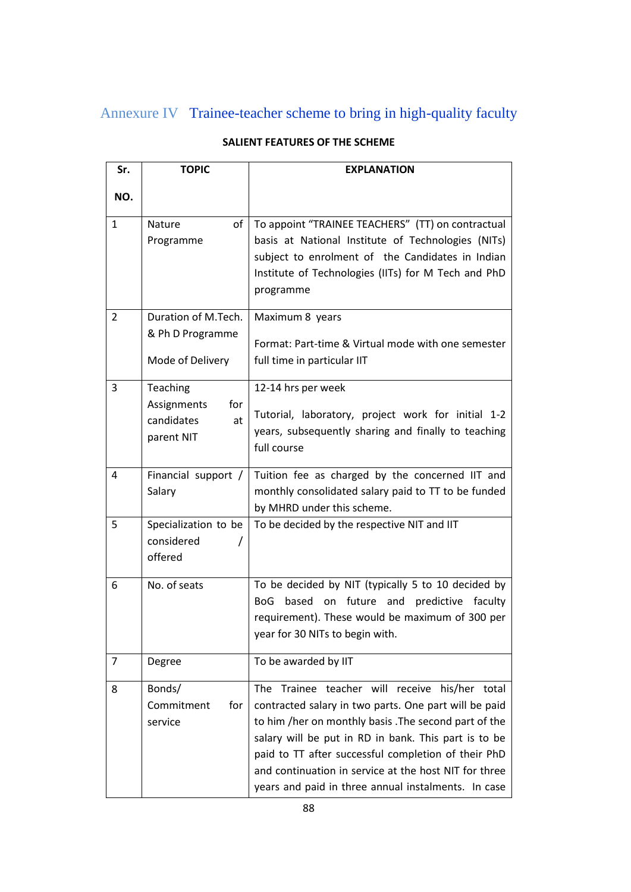# Annexure IV Trainee-teacher scheme to bring in high-quality faculty

| Sr.            | <b>TOPIC</b><br><b>EXPLANATION</b>                               |                                                                                                                                                                                                                                                                                                                                                                                                 |  |  |  |  |
|----------------|------------------------------------------------------------------|-------------------------------------------------------------------------------------------------------------------------------------------------------------------------------------------------------------------------------------------------------------------------------------------------------------------------------------------------------------------------------------------------|--|--|--|--|
| NO.            |                                                                  |                                                                                                                                                                                                                                                                                                                                                                                                 |  |  |  |  |
| $\mathbf{1}$   | Nature<br>of<br>Programme                                        | To appoint "TRAINEE TEACHERS" (TT) on contractual<br>basis at National Institute of Technologies (NITs)<br>subject to enrolment of the Candidates in Indian<br>Institute of Technologies (IITs) for M Tech and PhD<br>programme                                                                                                                                                                 |  |  |  |  |
| $\overline{2}$ | Duration of M.Tech.<br>& Ph D Programme<br>Mode of Delivery      | Maximum 8 years<br>Format: Part-time & Virtual mode with one semester<br>full time in particular IIT                                                                                                                                                                                                                                                                                            |  |  |  |  |
| 3              | Teaching<br>for<br>Assignments<br>candidates<br>at<br>parent NIT | 12-14 hrs per week<br>Tutorial, laboratory, project work for initial 1-2<br>years, subsequently sharing and finally to teaching<br>full course                                                                                                                                                                                                                                                  |  |  |  |  |
| 4              | Financial support /<br>Salary                                    | Tuition fee as charged by the concerned IIT and<br>monthly consolidated salary paid to TT to be funded<br>by MHRD under this scheme.                                                                                                                                                                                                                                                            |  |  |  |  |
| 5              | Specialization to be<br>considered<br>offered                    | To be decided by the respective NIT and IIT                                                                                                                                                                                                                                                                                                                                                     |  |  |  |  |
| 6              | No. of seats                                                     | To be decided by NIT (typically 5 to 10 decided by<br>based on future<br><b>BoG</b><br>and<br>predictive faculty<br>requirement). These would be maximum of 300 per<br>year for 30 NITs to begin with.                                                                                                                                                                                          |  |  |  |  |
| 7              | Degree                                                           | To be awarded by IIT                                                                                                                                                                                                                                                                                                                                                                            |  |  |  |  |
| 8              | Bonds/<br>Commitment<br>for<br>service                           | The Trainee teacher will receive his/her total<br>contracted salary in two parts. One part will be paid<br>to him /her on monthly basis . The second part of the<br>salary will be put in RD in bank. This part is to be<br>paid to TT after successful completion of their PhD<br>and continuation in service at the host NIT for three<br>years and paid in three annual instalments. In case |  |  |  |  |

# **SALIENT FEATURES OF THE SCHEME**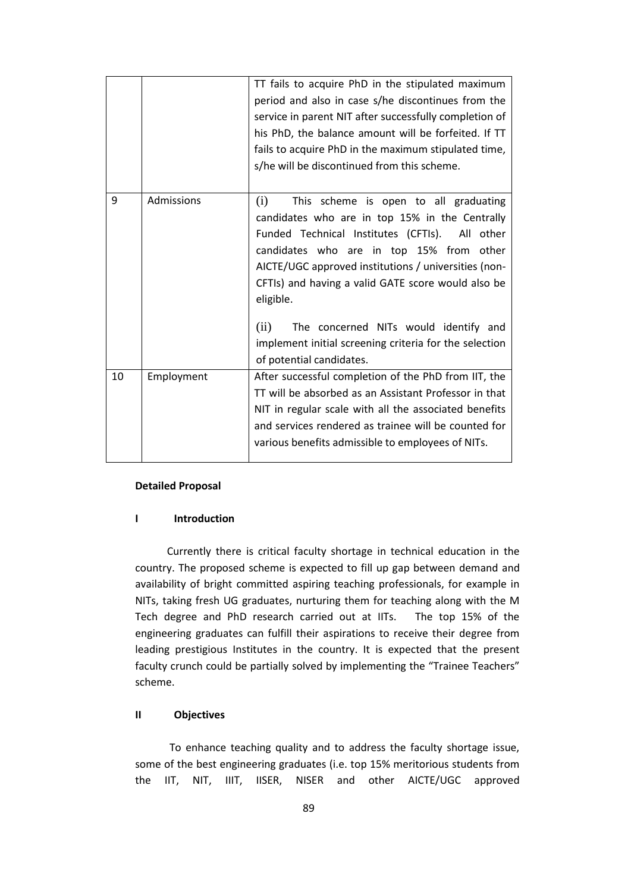|    |            | TT fails to acquire PhD in the stipulated maximum<br>period and also in case s/he discontinues from the<br>service in parent NIT after successfully completion of<br>his PhD, the balance amount will be forfeited. If TT<br>fails to acquire PhD in the maximum stipulated time,<br>s/he will be discontinued from this scheme.                                                                                                                               |
|----|------------|----------------------------------------------------------------------------------------------------------------------------------------------------------------------------------------------------------------------------------------------------------------------------------------------------------------------------------------------------------------------------------------------------------------------------------------------------------------|
| 9  | Admissions | (i)<br>This scheme is open to all graduating<br>candidates who are in top 15% in the Centrally<br>Funded Technical Institutes (CFTIs). All other<br>candidates who are in top 15% from other<br>AICTE/UGC approved institutions / universities (non-<br>CFTIs) and having a valid GATE score would also be<br>eligible.<br>(ii)<br>The concerned NITs would identify and<br>implement initial screening criteria for the selection<br>of potential candidates. |
| 10 | Employment | After successful completion of the PhD from IIT, the<br>TT will be absorbed as an Assistant Professor in that<br>NIT in regular scale with all the associated benefits<br>and services rendered as trainee will be counted for<br>various benefits admissible to employees of NITs.                                                                                                                                                                            |

#### **Detailed Proposal**

#### **I Introduction**

 Currently there is critical faculty shortage in technical education in the country. The proposed scheme is expected to fill up gap between demand and availability of bright committed aspiring teaching professionals, for example in NITs, taking fresh UG graduates, nurturing them for teaching along with the M Tech degree and PhD research carried out at IITs. The top 15% of the engineering graduates can fulfill their aspirations to receive their degree from leading prestigious Institutes in the country. It is expected that the present faculty crunch could be partially solved by implementing the "Trainee Teachers" scheme.

#### **II Objectives**

 To enhance teaching quality and to address the faculty shortage issue, some of the best engineering graduates (i.e. top 15% meritorious students from the IIT, NIT, IIIT, IISER, NISER and other AICTE/UGC approved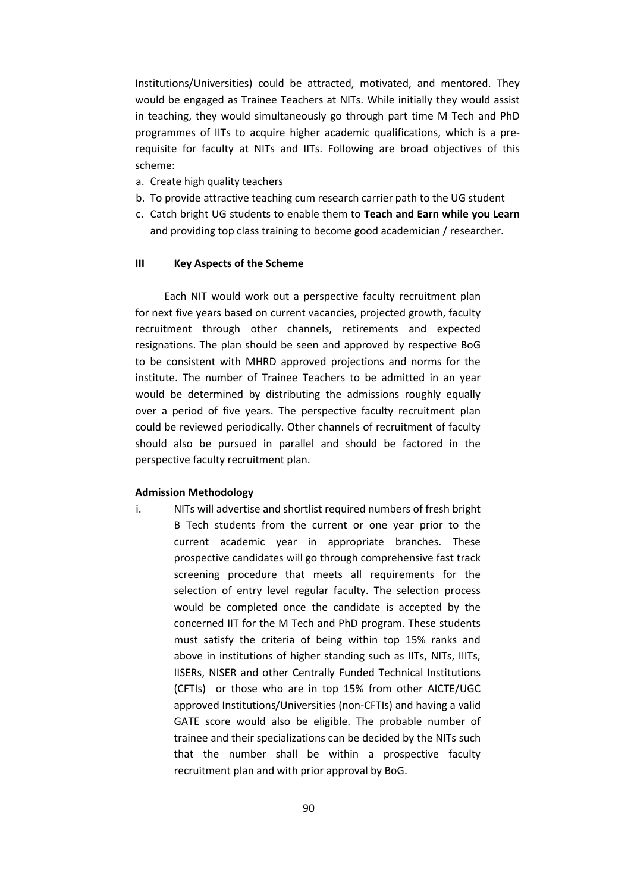Institutions/Universities) could be attracted, motivated, and mentored. They would be engaged as Trainee Teachers at NITs. While initially they would assist in teaching, they would simultaneously go through part time M Tech and PhD programmes of IITs to acquire higher academic qualifications, which is a prerequisite for faculty at NITs and IITs. Following are broad objectives of this scheme:

- a. Create high quality teachers
- b. To provide attractive teaching cum research carrier path to the UG student
- c. Catch bright UG students to enable them to **Teach and Earn while you Learn** and providing top class training to become good academician / researcher.

#### **III Key Aspects of the Scheme**

 Each NIT would work out a perspective faculty recruitment plan for next five years based on current vacancies, projected growth, faculty recruitment through other channels, retirements and expected resignations. The plan should be seen and approved by respective BoG to be consistent with MHRD approved projections and norms for the institute. The number of Trainee Teachers to be admitted in an year would be determined by distributing the admissions roughly equally over a period of five years. The perspective faculty recruitment plan could be reviewed periodically. Other channels of recruitment of faculty should also be pursued in parallel and should be factored in the perspective faculty recruitment plan.

#### **Admission Methodology**

i. NITs will advertise and shortlist required numbers of fresh bright B Tech students from the current or one year prior to the current academic year in appropriate branches. These prospective candidates will go through comprehensive fast track screening procedure that meets all requirements for the selection of entry level regular faculty. The selection process would be completed once the candidate is accepted by the concerned IIT for the M Tech and PhD program. These students must satisfy the criteria of being within top 15% ranks and above in institutions of higher standing such as IITs, NITs, IIITs, IISERs, NISER and other Centrally Funded Technical Institutions (CFTIs) or those who are in top 15% from other AICTE/UGC approved Institutions/Universities (non-CFTIs) and having a valid GATE score would also be eligible. The probable number of trainee and their specializations can be decided by the NITs such that the number shall be within a prospective faculty recruitment plan and with prior approval by BoG.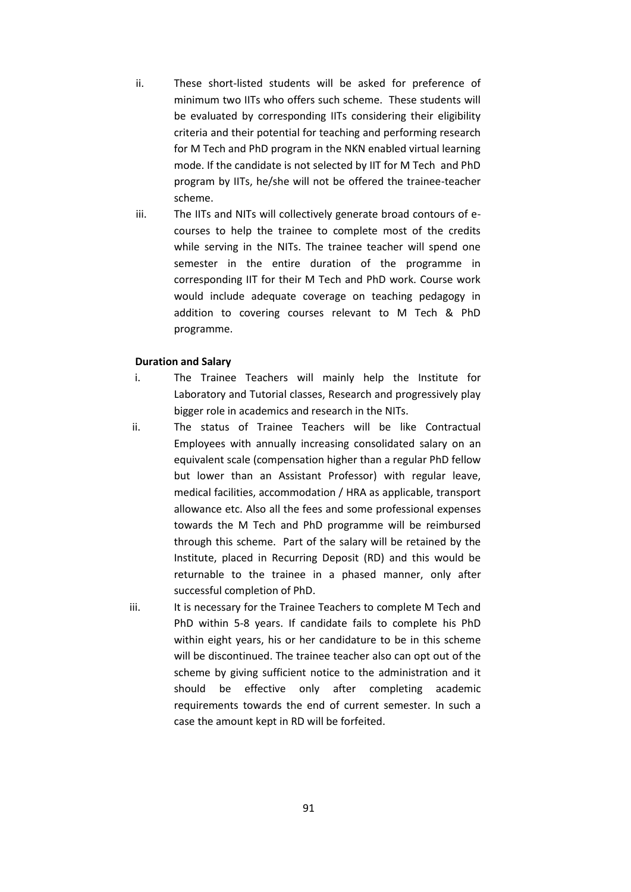- ii. These short-listed students will be asked for preference of minimum two IITs who offers such scheme. These students will be evaluated by corresponding IITs considering their eligibility criteria and their potential for teaching and performing research for M Tech and PhD program in the NKN enabled virtual learning mode. If the candidate is not selected by IIT for M Tech and PhD program by IITs, he/she will not be offered the trainee-teacher scheme.
- iii. The IITs and NITs will collectively generate broad contours of ecourses to help the trainee to complete most of the credits while serving in the NITs. The trainee teacher will spend one semester in the entire duration of the programme in corresponding IIT for their M Tech and PhD work. Course work would include adequate coverage on teaching pedagogy in addition to covering courses relevant to M Tech & PhD programme.

#### **Duration and Salary**

- i. The Trainee Teachers will mainly help the Institute for Laboratory and Tutorial classes, Research and progressively play bigger role in academics and research in the NITs.
- ii. The status of Trainee Teachers will be like Contractual Employees with annually increasing consolidated salary on an equivalent scale (compensation higher than a regular PhD fellow but lower than an Assistant Professor) with regular leave, medical facilities, accommodation / HRA as applicable, transport allowance etc. Also all the fees and some professional expenses towards the M Tech and PhD programme will be reimbursed through this scheme. Part of the salary will be retained by the Institute, placed in Recurring Deposit (RD) and this would be returnable to the trainee in a phased manner, only after successful completion of PhD.
- iii. It is necessary for the Trainee Teachers to complete M Tech and PhD within 5-8 years. If candidate fails to complete his PhD within eight years, his or her candidature to be in this scheme will be discontinued. The trainee teacher also can opt out of the scheme by giving sufficient notice to the administration and it should be effective only after completing academic requirements towards the end of current semester. In such a case the amount kept in RD will be forfeited.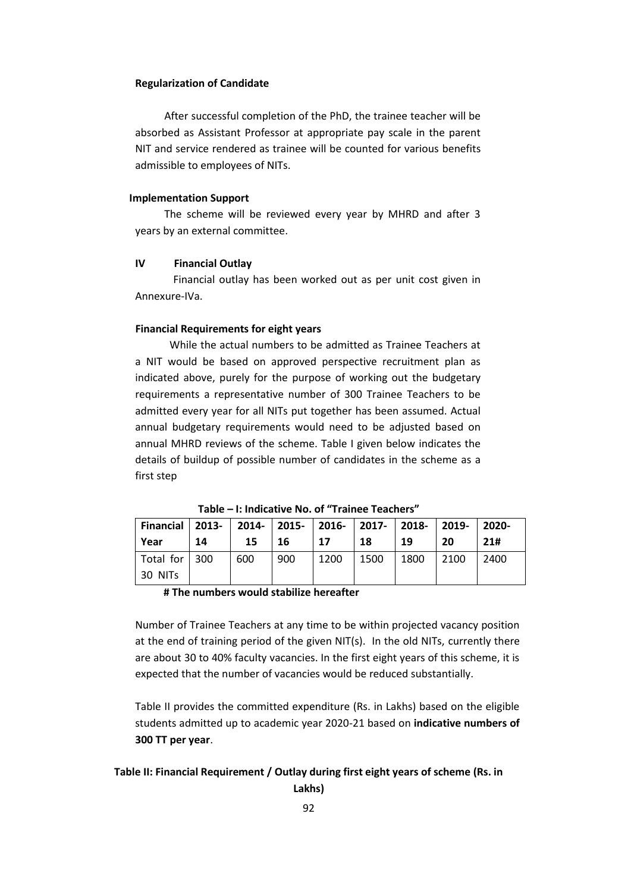#### **Regularization of Candidate**

 After successful completion of the PhD, the trainee teacher will be absorbed as Assistant Professor at appropriate pay scale in the parent NIT and service rendered as trainee will be counted for various benefits admissible to employees of NITs.

#### **Implementation Support**

 The scheme will be reviewed every year by MHRD and after 3 years by an external committee.

#### **IV Financial Outlay**

30 NITs

Financial outlay has been worked out as per unit cost given in Annexure-IVa.

#### **Financial Requirements for eight years**

 While the actual numbers to be admitted as Trainee Teachers at a NIT would be based on approved perspective recruitment plan as indicated above, purely for the purpose of working out the budgetary requirements a representative number of 300 Trainee Teachers to be admitted every year for all NITs put together has been assumed. Actual annual budgetary requirements would need to be adjusted based on annual MHRD reviews of the scheme. Table I given below indicates the details of buildup of possible number of candidates in the scheme as a first step

**Financial Year 2013- 14 2014- 15 2015- 16 2016- 17 2017- 18 2018- 19 2019- 20 2020- 21#** Total for 300 600 900 1200 1500 1800 2100 2400

**Table – I: Indicative No. of "Trainee Teachers"**

#### **# The numbers would stabilize hereafter**

Number of Trainee Teachers at any time to be within projected vacancy position at the end of training period of the given NIT(s). In the old NITs, currently there are about 30 to 40% faculty vacancies. In the first eight years of this scheme, it is expected that the number of vacancies would be reduced substantially.

Table II provides the committed expenditure (Rs. in Lakhs) based on the eligible students admitted up to academic year 2020-21 based on **indicative numbers of 300 TT per year**.

#### **Table II: Financial Requirement / Outlay during first eight years of scheme (Rs. in**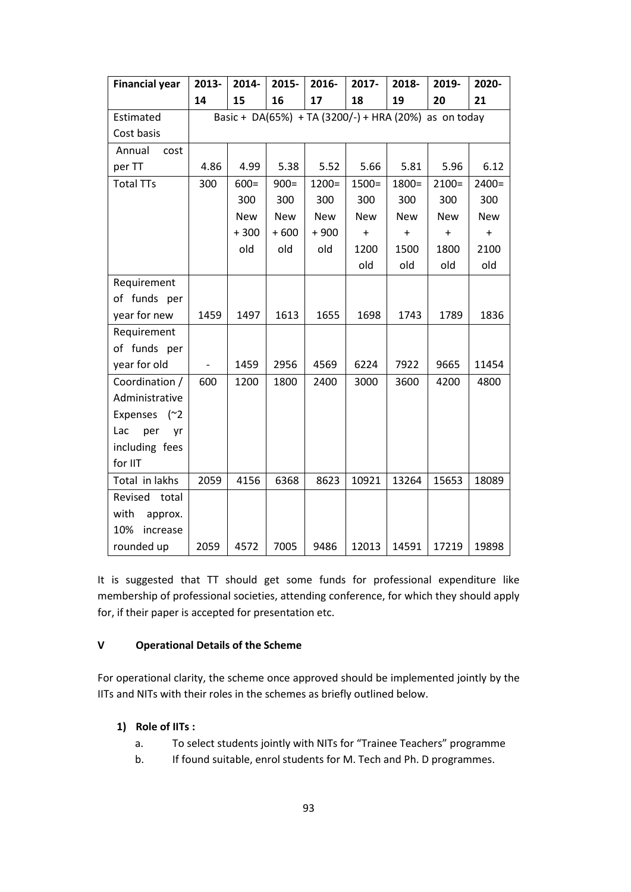| <b>Financial year</b> | 2013- | 2014-      | 2015-      | 2016-      | 2017-                                                 | 2018-      | 2019-      | 2020-      |
|-----------------------|-------|------------|------------|------------|-------------------------------------------------------|------------|------------|------------|
|                       | 14    | 15         | 16         | 17         | 18                                                    | 19         | 20         | 21         |
| Estimated             |       |            |            |            | Basic + DA(65%) + TA (3200/-) + HRA (20%) as on today |            |            |            |
| Cost basis            |       |            |            |            |                                                       |            |            |            |
| Annual<br>cost        |       |            |            |            |                                                       |            |            |            |
| per TT                | 4.86  | 4.99       | 5.38       | 5.52       | 5.66                                                  | 5.81       | 5.96       | 6.12       |
| <b>Total TTs</b>      | 300   | $600 =$    | $900=$     | $1200 =$   | $1500 =$                                              | $1800 =$   | $2100=$    | $2400 =$   |
|                       |       | 300        | 300        | 300        | 300                                                   | 300        | 300        | 300        |
|                       |       | <b>New</b> | <b>New</b> | <b>New</b> | <b>New</b>                                            | <b>New</b> | <b>New</b> | <b>New</b> |
|                       |       | $+300$     | $+600$     | $+900$     | $\ddot{}$                                             | $\ddot{}$  | $\ddot{}$  | $+$        |
|                       |       | old        | old        | old        | 1200                                                  | 1500       | 1800       | 2100       |
|                       |       |            |            |            | old                                                   | old        | old        | old        |
| Requirement           |       |            |            |            |                                                       |            |            |            |
| of funds per          |       |            |            |            |                                                       |            |            |            |
| year for new          | 1459  | 1497       | 1613       | 1655       | 1698                                                  | 1743       | 1789       | 1836       |
| Requirement           |       |            |            |            |                                                       |            |            |            |
| of funds per          |       |            |            |            |                                                       |            |            |            |
| year for old          |       | 1459       | 2956       | 4569       | 6224                                                  | 7922       | 9665       | 11454      |
| Coordination /        | 600   | 1200       | 1800       | 2400       | 3000                                                  | 3600       | 4200       | 4800       |
| Administrative        |       |            |            |            |                                                       |            |            |            |
| Expenses (~2          |       |            |            |            |                                                       |            |            |            |
| Lac<br>per<br>yr      |       |            |            |            |                                                       |            |            |            |
| including fees        |       |            |            |            |                                                       |            |            |            |
| for IIT               |       |            |            |            |                                                       |            |            |            |
| Total in lakhs        | 2059  | 4156       | 6368       | 8623       | 10921                                                 | 13264      | 15653      | 18089      |
| Revised<br>total      |       |            |            |            |                                                       |            |            |            |
| with<br>approx.       |       |            |            |            |                                                       |            |            |            |
| 10%<br>increase       |       |            |            |            |                                                       |            |            |            |
| rounded up            | 2059  | 4572       | 7005       | 9486       | 12013                                                 | 14591      | 17219      | 19898      |

It is suggested that TT should get some funds for professional expenditure like membership of professional societies, attending conference, for which they should apply for, if their paper is accepted for presentation etc.

#### **V Operational Details of the Scheme**

For operational clarity, the scheme once approved should be implemented jointly by the IITs and NITs with their roles in the schemes as briefly outlined below.

#### **1) Role of IITs :**

- a. To select students jointly with NITs for "Trainee Teachers" programme
- b. If found suitable, enrol students for M. Tech and Ph. D programmes.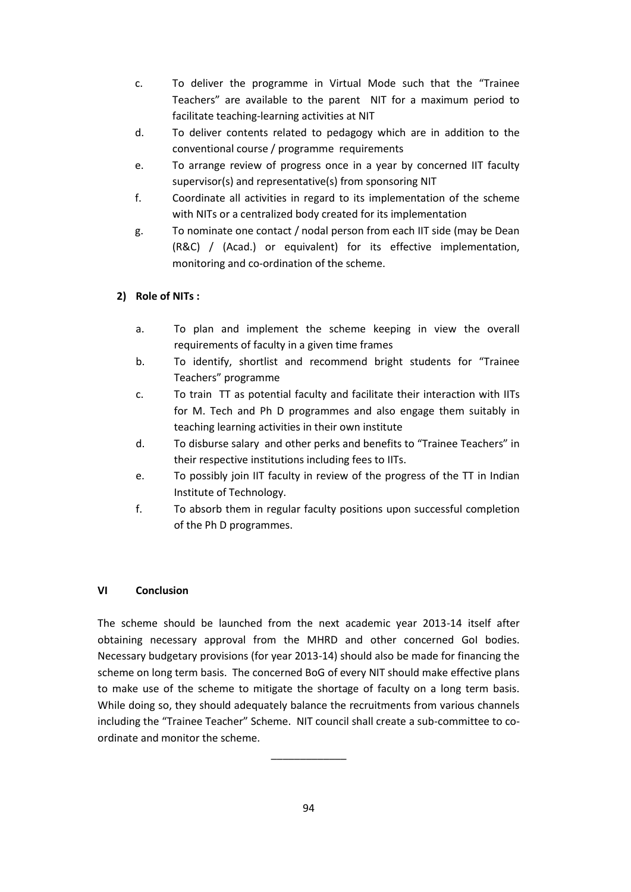- c. To deliver the programme in Virtual Mode such that the "Trainee Teachers" are available to the parent NIT for a maximum period to facilitate teaching-learning activities at NIT
- d. To deliver contents related to pedagogy which are in addition to the conventional course / programme requirements
- e. To arrange review of progress once in a year by concerned IIT faculty supervisor(s) and representative(s) from sponsoring NIT
- f. Coordinate all activities in regard to its implementation of the scheme with NITs or a centralized body created for its implementation
- g. To nominate one contact / nodal person from each IIT side (may be Dean (R&C) / (Acad.) or equivalent) for its effective implementation, monitoring and co-ordination of the scheme.

### **2) Role of NITs :**

- a. To plan and implement the scheme keeping in view the overall requirements of faculty in a given time frames
- b. To identify, shortlist and recommend bright students for "Trainee Teachers" programme
- c. To train TT as potential faculty and facilitate their interaction with IITs for M. Tech and Ph D programmes and also engage them suitably in teaching learning activities in their own institute
- d. To disburse salary and other perks and benefits to "Trainee Teachers" in their respective institutions including fees to IITs.
- e. To possibly join IIT faculty in review of the progress of the TT in Indian Institute of Technology.
- f. To absorb them in regular faculty positions upon successful completion of the Ph D programmes.

#### **VI Conclusion**

The scheme should be launched from the next academic year 2013-14 itself after obtaining necessary approval from the MHRD and other concerned GoI bodies. Necessary budgetary provisions (for year 2013-14) should also be made for financing the scheme on long term basis. The concerned BoG of every NIT should make effective plans to make use of the scheme to mitigate the shortage of faculty on a long term basis. While doing so, they should adequately balance the recruitments from various channels including the "Trainee Teacher" Scheme. NIT council shall create a sub-committee to coordinate and monitor the scheme.

\_\_\_\_\_\_\_\_\_\_\_\_\_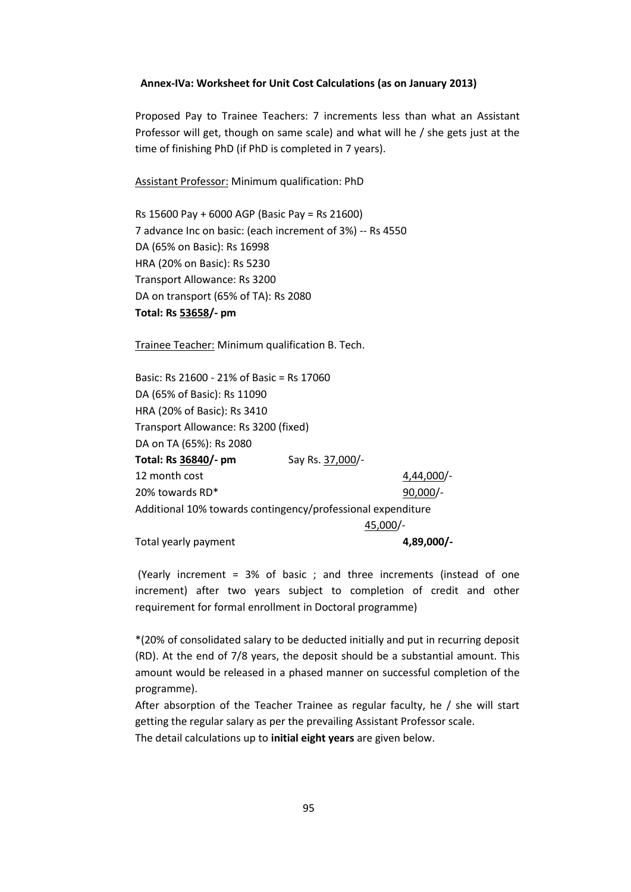#### **Annex-IVa: Worksheet for Unit Cost Calculations (as on January 2013)**

Proposed Pay to Trainee Teachers: 7 increments less than what an Assistant Professor will get, though on same scale) and what will he / she gets just at the time of finishing PhD (if PhD is completed in 7 years).

Assistant Professor: Minimum qualification: PhD

Rs 15600 Pay + 6000 AGP (Basic Pay = Rs 21600) 7 advance Inc on basic: (each increment of 3%) -- Rs 4550 DA (65% on Basic): Rs 16998 HRA (20% on Basic): Rs 5230 Transport Allowance: Rs 3200 DA on transport (65% of TA): Rs 2080 **Total: Rs 53658/- pm**

Trainee Teacher: Minimum qualification B. Tech.

| Basic: Rs 21600 - 21% of Basic = Rs 17060                   |                  |              |  |  |  |  |
|-------------------------------------------------------------|------------------|--------------|--|--|--|--|
| DA (65% of Basic): Rs 11090                                 |                  |              |  |  |  |  |
| HRA (20% of Basic): Rs 3410                                 |                  |              |  |  |  |  |
| Transport Allowance: Rs 3200 (fixed)                        |                  |              |  |  |  |  |
| DA on TA (65%): Rs 2080                                     |                  |              |  |  |  |  |
| Total: Rs 36840/- pm                                        | Say Rs. 37,000/- |              |  |  |  |  |
| 12 month cost                                               |                  | $4,44,000/-$ |  |  |  |  |
| 20% towards RD*                                             |                  | $90,000/-$   |  |  |  |  |
| Additional 10% towards contingency/professional expenditure |                  |              |  |  |  |  |
|                                                             |                  | 45,000/-     |  |  |  |  |
| Total yearly payment                                        |                  | 4,89,000/-   |  |  |  |  |

(Yearly increment = 3% of basic ; and three increments (instead of one increment) after two years subject to completion of credit and other requirement for formal enrollment in Doctoral programme)

\*(20% of consolidated salary to be deducted initially and put in recurring deposit (RD). At the end of 7/8 years, the deposit should be a substantial amount. This amount would be released in a phased manner on successful completion of the programme).

After absorption of the Teacher Trainee as regular faculty, he / she will start getting the regular salary as per the prevailing Assistant Professor scale. The detail calculations up to **initial eight years** are given below.